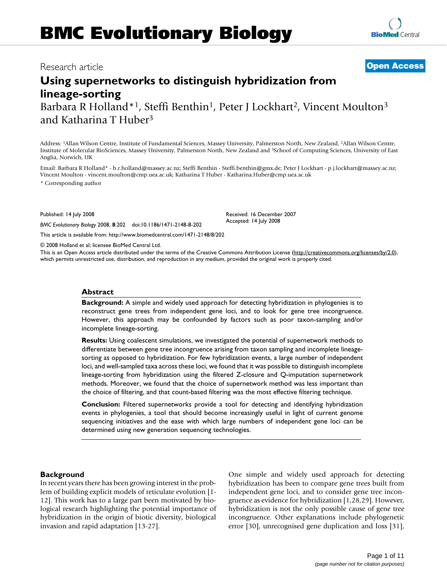# Research article **[Open Access](http://www.biomedcentral.com/info/about/charter/)**

# **Using supernetworks to distinguish hybridization from lineage-sorting** Barbara R Holland<sup>\*1</sup>, Steffi Benthin<sup>1</sup>, Peter J Lockhart<sup>2</sup>, Vincent Moulton<sup>3</sup>

and Katharina T Huber3

Address: 1Allan Wilson Centre, Institute of Fundamental Sciences, Massey University, Palmerston North, New Zealand, 2Allan Wilson Centre, Institute of Molecular BioSciences, Massey University, Palmerston North, New Zealand and 3School of Computing Sciences, University of East Anglia, Norwich, UK

Email: Barbara R Holland\* - b.r.holland@massey.ac.nz; Steffi Benthin - Steffi.benthin@gmx.de; Peter J Lockhart - p.j.lockhart@massey.ac.nz; Vincent Moulton - vincent.moulton@cmp.uea.ac.uk; Katharina T Huber - Katharina.Huber@cmp.uea.ac.uk

\* Corresponding author

Published: 14 July 2008

*BMC Evolutionary Biology* 2008, **8**:202 doi:10.1186/1471-2148-8-202

[This article is available from: http://www.biomedcentral.com/1471-2148/8/202](http://www.biomedcentral.com/1471-2148/8/202)

© 2008 Holland et al; licensee BioMed Central Ltd.

This is an Open Access article distributed under the terms of the Creative Commons Attribution License [\(http://creativecommons.org/licenses/by/2.0\)](http://creativecommons.org/licenses/by/2.0), which permits unrestricted use, distribution, and reproduction in any medium, provided the original work is properly cited.

#### **Abstract**

**Background:** A simple and widely used approach for detecting hybridization in phylogenies is to reconstruct gene trees from independent gene loci, and to look for gene tree incongruence. However, this approach may be confounded by factors such as poor taxon-sampling and/or incomplete lineage-sorting.

**Results:** Using coalescent simulations, we investigated the potential of supernetwork methods to differentiate between gene tree incongruence arising from taxon sampling and incomplete lineagesorting as opposed to hybridization. For few hybridization events, a large number of independent loci, and well-sampled taxa across these loci, we found that it was possible to distinguish incomplete lineage-sorting from hybridization using the filtered Z-closure and Q-imputation supernetwork methods. Moreover, we found that the choice of supernetwork method was less important than the choice of filtering, and that count-based filtering was the most effective filtering technique.

**Conclusion:** Filtered supernetworks provide a tool for detecting and identifying hybridization events in phylogenies, a tool that should become increasingly useful in light of current genome sequencing initiatives and the ease with which large numbers of independent gene loci can be determined using new generation sequencing technologies.

#### **Background**

In recent years there has been growing interest in the problem of building explicit models of reticulate evolution [1- 12]. This work has to a large part been motivated by biological research highlighting the potential importance of hybridization in the origin of biotic diversity, biological invasion and rapid adaptation [13-27].

One simple and widely used approach for detecting hybridization has been to compare gene trees built from independent gene loci, and to consider gene tree incongruence as evidence for hybridization [1,28,29]. However, hybridization is not the only possible cause of gene tree incongruence. Other explanations include phylogenetic error [30], unrecognised gene duplication and loss [31],

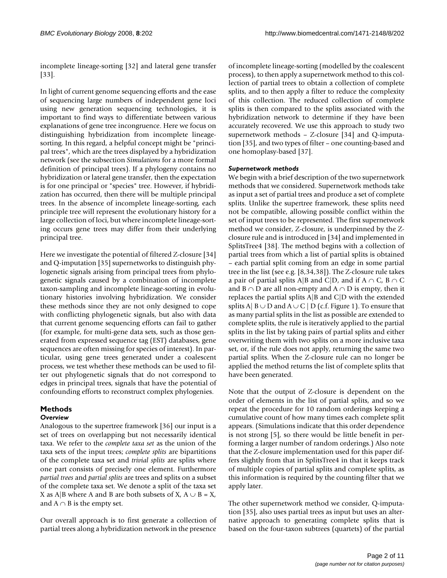incomplete lineage-sorting [32] and lateral gene transfer [33].

In light of current genome sequencing efforts and the ease of sequencing large numbers of independent gene loci using new generation sequencing technologies, it is important to find ways to differentiate between various explanations of gene tree incongruence. Here we focus on distinguishing hybridization from incomplete lineagesorting. In this regard, a helpful concept might be "principal trees", which are the trees displayed by a hybridization network (see the subsection *Simulations* for a more formal definition of principal trees). If a phylogeny contains no hybridization or lateral gene transfer, then the expectation is for one principal or "species" tree. However, if hybridization has occurred, then there will be multiple principal trees. In the absence of incomplete lineage-sorting, each principle tree will represent the evolutionary history for a large collection of loci, but where incomplete lineage-sorting occurs gene trees may differ from their underlying principal tree.

Here we investigate the potential of filtered Z-closure [34] and Q-imputation [35] supernetworks to distinguish phylogenetic signals arising from principal trees from phylogenetic signals caused by a combination of incomplete taxon-sampling and incomplete lineage-sorting in evolutionary histories involving hybridization. We consider these methods since they are not only designed to cope with conflicting phylogenetic signals, but also with data that current genome sequencing efforts can fail to gather (for example, for multi-gene data sets, such as those generated from expressed sequence tag (EST) databases, gene sequences are often missing for species of interest). In particular, using gene trees generated under a coalescent process, we test whether these methods can be used to filter out phylogenetic signals that do not correspond to edges in principal trees, signals that have the potential of confounding efforts to reconstruct complex phylogenies.

## **Methods**

### *Overview*

Analogous to the supertree framework [36] our input is a set of trees on overlapping but not necessarily identical taxa. We refer to the *complete taxa set* as the union of the taxa sets of the input trees; *complete splits* are bipartitions of the complete taxa set and *trivial splits* are splits where one part consists of precisely one element. Furthermore *partial trees* and *partial splits* are trees and splits on a subset of the complete taxa set. We denote a split of the taxa set X as A|B where A and B are both subsets of X,  $A \cup B = X$ , and  $A \cap B$  is the empty set.

Our overall approach is to first generate a collection of partial trees along a hybridization network in the presence of incomplete lineage-sorting (modelled by the coalescent process), to then apply a supernetwork method to this collection of partial trees to obtain a collection of complete splits, and to then apply a filter to reduce the complexity of this collection. The reduced collection of complete splits is then compared to the splits associated with the hybridization network to determine if they have been accurately recovered. We use this approach to study two supernetwork methods – Z-closure [34] and Q-imputation [35], and two types of filter – one counting-based and one homoplasy-based [37].

#### *Supernetwork methods*

We begin with a brief description of the two supernetwork methods that we considered. Supernetwork methods take as input a set of partial trees and produce a set of complete splits. Unlike the supertree framework, these splits need not be compatible, allowing possible conflict within the set of input trees to be represented. The first supernetwork method we consider, Z-closure, is underpinned by the Zclosure rule and is introduced in [34] and implemented in SplitsTree4 [38]. The method begins with a collection of partial trees from which a list of partial splits is obtained – each partial split coming from an edge in some partial tree in the list (see e.g. [8,34,38]). The Z-closure rule takes a pair of partial splits A|B and C|D, and if  $A \cap C$ ,  $B \cap C$ and B ∩ D are all non-empty and  $A \cap D$  is empty, then it replaces the partial splits A|B and C|D with the extended splits A $\mid B \cup D$  and A  $\cup C \mid D$  (c.f. Figure 1). To ensure that as many partial splits in the list as possible are extended to complete splits, the rule is iteratively applied to the partial splits in the list by taking pairs of partial splits and either overwriting them with two splits on a more inclusive taxa set, or, if the rule does not apply, returning the same two partial splits. When the Z-closure rule can no longer be applied the method returns the list of complete splits that have been generated.

Note that the output of Z-closure is dependent on the order of elements in the list of partial splits, and so we repeat the procedure for 10 random orderings keeping a cumulative count of how many times each complete split appears. (Simulations indicate that this order dependence is not strong [5], so there would be little benefit in performing a larger number of random orderings.) Also note that the Z-closure implementation used for this paper differs slightly from that in SplitsTree4 in that it keeps track of multiple copies of partial splits and complete splits, as this information is required by the counting filter that we apply later.

The other supernetwork method we consider, Q-imputation [35], also uses partial trees as input but uses an alternative approach to generating complete splits that is based on the four-taxon subtrees (quartets) of the partial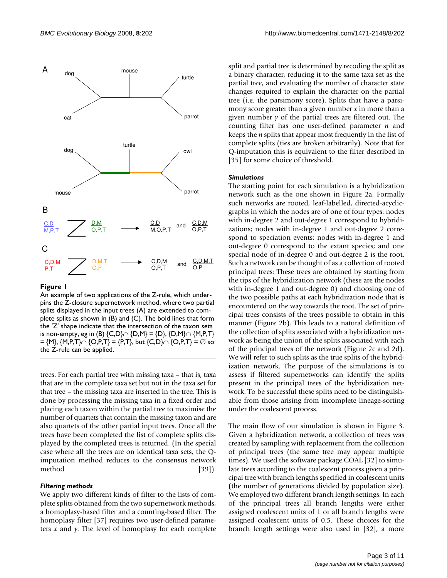

#### **Figure I**

An example of two applications of the Z-rule, which underpins the Z-closure supernetwork method, where two partial splits displayed in the input trees (A) are extended to complete splits as shown in (B) and (C). The bold lines that form the 'Z' shape indicate that the intersection of the taxon sets is non-empty, eg in (B)  $\{C, D\} \cap \{D, M\} = \{D\}, \{D, M\} \cap \{M, P, T\}$ = {M}, {M,P,T}∩ {O,P,T} = {P,T}, but {C,D}∩ {O,P,T} = ∅ so the Z-rule can be applied.

trees. For each partial tree with missing taxa – that is, taxa that are in the complete taxa set but not in the taxa set for that tree – the missing taxa are inserted in the tree. This is done by processing the missing taxa in a fixed order and placing each taxon within the partial tree to maximise the number of quartets that contain the missing taxon and are also quartets of the other partial input trees. Once all the trees have been completed the list of complete splits displayed by the completed trees is returned. (In the special case where all the trees are on identical taxa sets, the Qimputation method reduces to the consensus network method [39]).

#### *Filtering methods*

We apply two different kinds of filter to the lists of complete splits obtained from the two supernetwork methods, a homoplasy-based filter and a counting-based filter. The homoplasy filter [37] requires two user-defined parameters *x* and *y*. The level of homoplasy for each complete split and partial tree is determined by recoding the split as a binary character, reducing it to the same taxa set as the partial tree, and evaluating the number of character state changes required to explain the character on the partial tree (i.e. the parsimony score). Splits that have a parsimony score greater than a given number *x* in more than a given number *y* of the partial trees are filtered out. The counting filter has one user-defined parameter *n* and keeps the *n* splits that appear most frequently in the list of complete splits (ties are broken arbitrarily). Note that for Q-imputation this is equivalent to the filter described in [35] for some choice of threshold.

#### *Simulations*

The starting point for each simulation is a hybridization network such as the one shown in Figure 2a. Formally such networks are rooted, leaf-labelled, directed-acyclicgraphs in which the nodes are of one of four types: nodes with in-degree 2 and out-degree 1 correspond to hybridizations; nodes with in-degree 1 and out-degree 2 correspond to speciation events; nodes with in-degree 1 and out-degree 0 correspond to the extant species; and one special node of in-degree 0 and out-degree 2 is the root. Such a network can be thought of as a collection of rooted principal trees: These trees are obtained by starting from the tips of the hybridization network (these are the nodes with in-degree 1 and out-degree 0) and choosing one of the two possible paths at each hybridization node that is encountered on the way towards the root. The set of principal trees consists of the trees possible to obtain in this manner (Figure 2b). This leads to a natural definition of the collection of splits associated with a hybridization network as being the union of the splits associated with each of the principal trees of the network (Figure 2c and 2d). We will refer to such splits as the true splits of the hybridization network. The purpose of the simulations is to assess if filtered supernetworks can identify the splits present in the principal trees of the hybridization network. To be successful these splits need to be distinguishable from those arising from incomplete lineage-sorting under the coalescent process.

The main flow of our simulation is shown in Figure 3. Given a hybridization network, a collection of trees was created by sampling with replacement from the collection of principal trees (the same tree may appear multiple times). We used the software package COAL [32] to simulate trees according to the coalescent process given a principal tree with branch lengths specified in coalescent units (the number of generations divided by population size). We employed two different branch length settings. In each of the principal trees all branch lengths were either assigned coalescent units of 1 or all branch lengths were assigned coalescent units of 0.5. These choices for the branch length settings were also used in [32], a more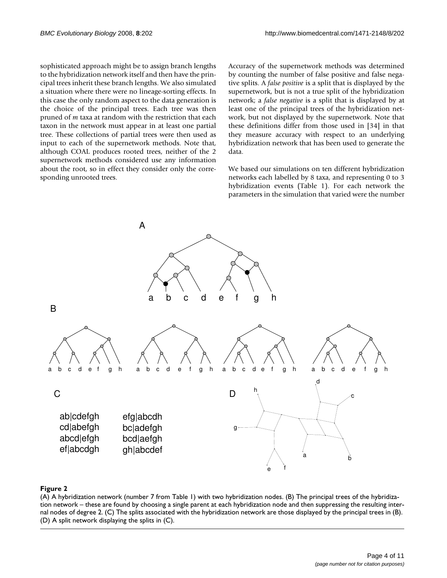sophisticated approach might be to assign branch lengths to the hybridization network itself and then have the principal trees inherit these branch lengths. We also simulated a situation where there were no lineage-sorting effects. In this case the only random aspect to the data generation is the choice of the principal trees. Each tree was then pruned of *m* taxa at random with the restriction that each taxon in the network must appear in at least one partial tree. These collections of partial trees were then used as input to each of the supernetwork methods. Note that, although COAL produces rooted trees, neither of the 2 supernetwork methods considered use any information about the root, so in effect they consider only the corresponding unrooted trees.

Accuracy of the supernetwork methods was determined by counting the number of false positive and false negative splits. A *false positive* is a split that is displayed by the supernetwork, but is not a true split of the hybridization network; a *false negative* is a split that is displayed by at least one of the principal trees of the hybridization network, but not displayed by the supernetwork. Note that these definitions differ from those used in [34] in that they measure accuracy with respect to an underlying hybridization network that has been used to generate the data.

We based our simulations on ten different hybridization networks each labelled by 8 taxa, and representing 0 to 3 hybridization events (Table 1). For each network the parameters in the simulation that varied were the number



#### (A) A hybridization network (number 7 from  $\mathcal{P}$  table 1) with two hybridization nodes is not two hybridization nodes in the set of two hybridization nodes is not two hybridization nodes in the set of two hybridization

(A) A hybridization network (number 7 from Table 1) with two hybridization nodes. (B) The principal trees of the hybridization network – these are found by choosing a single parent at each hybridization node and then suppressing the resulting internal nodes of degree 2. (C) The splits associated with the hybridization network are those displayed by the principal trees in (B). (D) A split network displaying the splits in (C).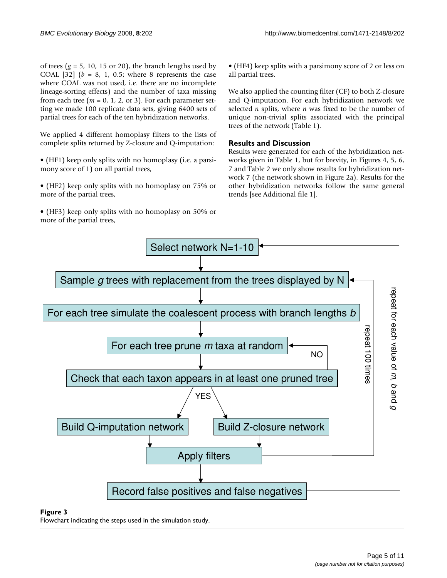of trees  $(g = 5, 10, 15 \text{ or } 20)$ , the branch lengths used by COAL [32]  $(b = 8, 1, 0.5;$  where 8 represents the case where COAL was not used, i.e. there are no incomplete lineage-sorting effects) and the number of taxa missing from each tree  $(m = 0, 1, 2, \text{ or } 3)$ . For each parameter setting we made 100 replicate data sets, giving 6400 sets of partial trees for each of the ten hybridization networks.

We applied 4 different homoplasy filters to the lists of complete splits returned by Z-closure and Q-imputation:

- (HF1) keep only splits with no homoplasy (i.e. a parsimony score of 1) on all partial trees,
- (HF2) keep only splits with no homoplasy on 75% or more of the partial trees,
- (HF3) keep only splits with no homoplasy on 50% or more of the partial trees,

• (HF4) keep splits with a parsimony score of 2 or less on all partial trees.

We also applied the counting filter (CF) to both Z-closure and Q-imputation. For each hybridization network we selected *n* splits, where *n* was fixed to be the number of unique non-trivial splits associated with the principal trees of the network (Table 1).

#### **Results and Discussion**

Results were generated for each of the hybridization networks given in Table 1, but for brevity, in Figures 4, 5, 6, 7 and Table 2 we only show results for hybridization network 7 (the network shown in Figure 2a). Results for the other hybridization networks follow the same general trends [see Additional file 1].



#### Figure 3

Flowchart indicating the steps used in the simulation study.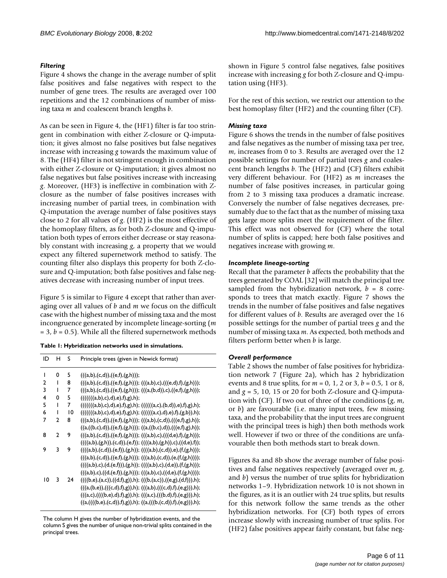#### *Filtering*

Figure 4 shows the change in the average number of split false positives and false negatives with respect to the number of gene trees. The results are averaged over 100 repetitions and the 12 combinations of number of missing taxa *m* and coalescent branch lengths *b*.

As can be seen in Figure 4, the (HF1) filter is far too stringent in combination with either Z-closure or Q-imputation; it gives almost no false positives but false negatives increase with increasing *g* towards the maximum value of 8. The (HF4) filter is not stringent enough in combination with either Z-closure or Q-imputation; it gives almost no false negatives but false positives increase with increasing *g*. Moreover, (HF3) is ineffective in combination with Zclosure as the number of false positives increases with increasing number of partial trees, in combination with Q-imputation the average number of false positives stays close to 2 for all values of *g*. (HF2) is the most effective of the homoplasy filters, as for both Z-closure and Q-imputation both types of errors either decrease or stay reasonably constant with increasing *g*, a property that we would expect any filtered supernetwork method to satisfy. The counting filter also displays this property for both Z-closure and Q-imputation; both false positives and false negatives decrease with increasing number of input trees.

Figure 5 is similar to Figure 4 except that rather than averaging over all values of *b* and *m* we focus on the difficult case with the highest number of missing taxa and the most incongruence generated by incomplete lineage-sorting (*m*  $= 3, b = 0.5$ ). While all the filtered supernetwork methods

| Principle trees (given in Newick format)                              |
|-----------------------------------------------------------------------|
|                                                                       |
| $(((a,b),(c,d)),((e,f),(g,h))); (((a,b),c),(((e,d),f),(g,h)));$       |
| $(((a,b),(c,d)),((e,f),(g,h)))$ ; $(((a,(b,d)),c),((e,f),(g,h)))$ ;   |
|                                                                       |
| $((((((a,b),c),d),e),f),g),h); (((((a,c),(b,d)),e),f),g),h);$         |
| $((((((a,b),c),d),e),f),g),h); (((((a,c),d),e),f), (g,b)),h);$        |
| $(((a,b),(c,d)),((e,f),(g,h))); (((a,b),(c,d)),(((e,f),g),h));$       |
| $((a, ((b,c),d)), ((e,f),(g,h)))$ ; $((a, ((b,c),d)), ((e,f,g),h))$ ; |
| $(((a,b),(c,d)),((e,f),(g,h)))$ ; $(((a,b),c),(((d,e),f),(g,h)))$ ;   |
| $(((a,b),(g,h)), (c,d)), (e,f)); (((a,b),(g,h)), c), ((d,e),f));$     |
| $(((a,b),(c,d)),(e,f),(g,h)); (((a,b),(c,d)),e),(f,(g,h)))$ ;         |
| $(((a,b),(c,d)),((e,f),(g,h))); (((a,b),(c,d)),(e,(f,(g,h))));$       |
| $(((a,b),c),(d,(e,f))),(g,h)); (((a,b),c),(d,e)),(f,(g,h)));$         |
| $(((a,b),c),((d,(e,f)),(g,h))); (((a,b),c),((d,e),(f,(g,h))));$       |
| $((((b,e),(a,c)),((d,f),g)),h); (((b,(a,c)),((e,g),(d,f))),h);$       |
| $(((a,(b,e)),(((c,d),f),g)),h); (((a,b),(((c,d),f),(e,g))),h);$       |
| $(((a,c),(((b,e),d),f),g)),h); (((a,c),(((b,d),f),(e,g))),h);$        |
| $((a,(((b,e),(c,d)),f),g)),h); ((a,(((b,(c,d)),f),(e,g))),h);$        |
|                                                                       |

The column H gives the number of hybridization events, and the column S gives the number of unique non-trivial splits contained in the principal trees.

shown in Figure 5 control false negatives, false positives increase with increasing *g* for both Z-closure and Q-imputation using (HF3).

For the rest of this section, we restrict our attention to the best homoplasy filter (HF2) and the counting filter (CF).

#### *Missing taxa*

Figure 6 shows the trends in the number of false positives and false negatives as the number of missing taxa per tree, *m*, increases from 0 to 3. Results are averaged over the 12 possible settings for number of partial trees *g* and coalescent branch lengths *b*. The (HF2) and (CF) filters exhibit very different behaviour. For (HF2) as *m* increases the number of false positives increases, in particular going from 2 to 3 missing taxa produces a dramatic increase. Conversely the number of false negatives decreases, presumably due to the fact that as the number of missing taxa gets large more splits meet the requirement of the filter. This effect was not observed for (CF) where the total number of splits is capped; here both false positives and negatives increase with growing *m*.

#### *Incomplete lineage-sorting*

Recall that the parameter *b* affects the probability that the trees generated by COAL [32] will match the principal tree sampled from the hybridization network,  $b = 8$  corresponds to trees that match exactly. Figure 7 shows the trends in the number of false positives and false negatives for different values of *b*. Results are averaged over the 16 possible settings for the number of partial trees *g* and the number of missing taxa *m*. As expected, both methods and filters perform better when *b* is large.

#### *Overall performance*

Table 2 shows the number of false positives for hybridization network 7 (Figure 2a), which has 2 hybridization events and 8 true splits, for  $m = 0, 1, 2$  or  $3, b = 0.5, 1$  or  $8$ , and  $g = 5$ , 10, 15 or 20 for both Z-closure and Q-imputation with (CF). If two out of three of the conditions (*g*, *m*, or *b*) are favourable (i.e. many input trees, few missing taxa, and the probability that the input trees are congruent with the principal trees is high) then both methods work well. However if two or three of the conditions are unfavourable then both methods start to break down.

Figures 8a and 8b show the average number of false positives and false negatives respectively (averaged over *m*, *g*, and *b*) versus the number of true splits for hybridization networks 1–9. Hybridization network 10 is not shown in the figures, as it is an outlier with 24 true splits, but results for this network follow the same trends as the other hybridization networks. For (CF) both types of errors increase slowly with increasing number of true splits. For (HF2) false positives appear fairly constant, but false neg-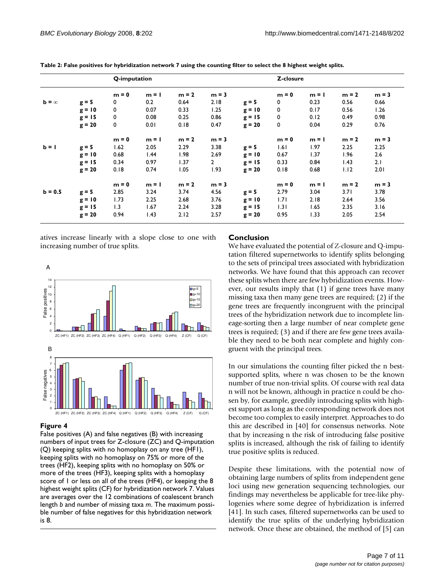|                       |          | Q-imputation |         |         |              | Z-closure |         |         |         |         |
|-----------------------|----------|--------------|---------|---------|--------------|-----------|---------|---------|---------|---------|
|                       |          | $m = 0$      | $m = 1$ | $m = 2$ | $m = 3$      |           | $m = 0$ | $m = 1$ | $m = 2$ | $m = 3$ |
| $\mathbf{b} = \infty$ | $g = 5$  | 0            | 0.2     | 0.64    | 2.18         | $g = 5$   | 0       | 0.23    | 0.56    | 0.66    |
|                       | $g = 10$ | 0            | 0.07    | 0.33    | 1.25         | $g = 10$  | 0       | 0.17    | 0.56    | 1.26    |
|                       | $g = 15$ | 0            | 0.08    | 0.25    | 0.86         | $g = 15$  | 0       | 0.12    | 0.49    | 0.98    |
|                       | $g = 20$ | 0            | 0.01    | 0.18    | 0.47         | $g = 20$  | 0       | 0.04    | 0.29    | 0.76    |
|                       |          | $m = 0$      | $m = 1$ | $m = 2$ | $m = 3$      |           | $m = 0$ | $m = 1$ | $m = 2$ | $m = 3$ |
| $b = 1$               | $g = 5$  | 1.62         | 2.05    | 2.29    | 3.38         | $g = 5$   | 1.61    | 1.97    | 2.25    | 2.25    |
|                       | $g = 10$ | 0.68         | 1.44    | I.98    | 2.69         | $g = 10$  | 0.67    | 1.37    | 1.96    | 2.6     |
|                       | $g = 15$ | 0.34         | 0.97    | 1.37    | $\mathbf{2}$ | $g = 15$  | 0.33    | 0.84    | 1.43    | 2.1     |
|                       | $g = 20$ | 0.18         | 0.74    | 1.05    | 1.93         | $g = 20$  | 0.18    | 0.68    | 1.12    | 2.01    |
|                       |          | $m = 0$      | $m = 1$ | $m = 2$ | $m = 3$      |           | $m = 0$ | $m = 1$ | $m = 2$ | $m = 3$ |
| $b = 0.5$             | $g = 5$  | 2.85         | 3.24    | 3.74    | 4.56         | $g = 5$   | 2.79    | 3.04    | 3.71    | 3.78    |
|                       | $g = 10$ | 1.73         | 2.25    | 2.68    | 3.76         | $g = 10$  | 1.71    | 2.18    | 2.64    | 3.56    |
|                       | $g = 15$ | 1.3          | 1.67    | 2.24    | 3.28         | $g = 15$  | 1.31    | 1.65    | 2.35    | 3.16    |
|                       | $g = 20$ | 0.94         | 1.43    | 2.12    | 2.57         | $g = 20$  | 0.95    | 1.33    | 2.05    | 2.54    |

**Table 2: False positives for hybridization network 7 using the counting filter to select the 8 highest weight splits.**

atives increase linearly with a slope close to one with increasing number of true splits.



We have evaluated the potential of Z-closure and Q-imputation filtered supernetworks to identify splits belonging to the sets of principal trees associated with hybridization networks. We have found that this approach can recover these splits when there are few hybridization events. However, our results imply that (1) if gene trees have many missing taxa then many gene trees are required; (2) if the gene trees are frequently incongruent with the principal trees of the hybridization network due to incomplete lineage-sorting then a large number of near complete gene trees is required; (3) and if there are few gene trees available they need to be both near complete and highly congruent with the principal trees.

In our simulations the counting filter picked the n bestsupported splits, where n was chosen to be the known number of true non-trivial splits. Of course with real data n will not be known, although in practice n could be chosen by, for example, greedily introducing splits with highest support as long as the corresponding network does not become too complex to easily interpret. Approaches to do this are described in [40] for consensus networks. Note that by increasing n the risk of introducing false positive splits is increased, although the risk of failing to identify true positive splits is reduced.

Despite these limitations, with the potential now of obtaining large numbers of splits from independent gene loci using new generation sequencing technologies, our findings may nevertheless be applicable for tree-like phylogenies where some degree of hybridization is inferred [41]. In such cases, filtered supernetworks can be used to identify the true splits of the underlying hybridization network. Once these are obtained, the method of [5] can



### Figure 4

False positives (A) and false negatives (B) with increasing numbers of input trees for Z-closure (ZC) and Q-imputation (Q) keeping splits with no homoplasy on any tree (HF1), keeping splits with no homoplasy on 75% or more of the trees (HF2), keeping splits with no homoplasy on 50% or more of the trees (HF3), keeping splits with a homoplasy score of 1 or less on all of the trees (HF4), or keeping the 8 highest weight splits (CF) for hybridization network 7. Values are averages over the 12 combinations of coalescent branch length *b* and number of missing taxa *m*. The maximum possible number of false negatives for this hybridization network is 8.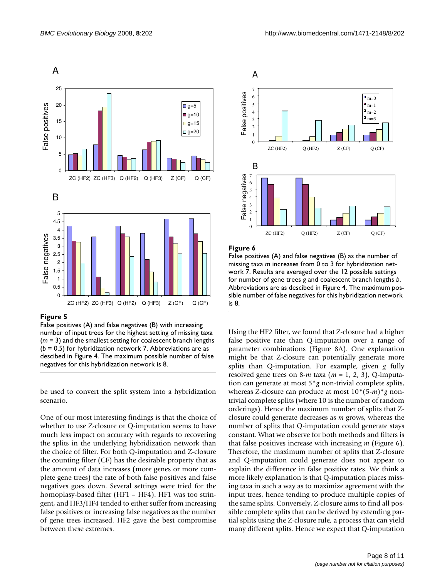



#### **Figure 5**

False positives (A) and false negatives (B) with increasing number of input trees for the highest setting of missing taxa (*m* = 3) and the smallest setting for coalescent branch lengths (*b* = 0.5) for hybridization network 7. Abbreviations are as descibed in Figure 4. The maximum possible number of false negatives for this hybridization network is 8.

be used to convert the split system into a hybridization scenario.

One of our most interesting findings is that the choice of whether to use Z-closure or Q-imputation seems to have much less impact on accuracy with regards to recovering the splits in the underlying hybridization network than the choice of filter. For both Q-imputation and Z-closure the counting filter (CF) has the desirable property that as the amount of data increases (more genes or more complete gene trees) the rate of both false positives and false negatives goes down. Several settings were tried for the homoplasy-based filter (HF1 – HF4). HF1 was too stringent, and HF3/HF4 tended to either suffer from increasing false positives or increasing false negatives as the number of gene trees increased. HF2 gave the best compromise between these extremes.



#### Figure 6

False positives (A) and false negatives (B) as the number of missing taxa *m* increases from 0 to 3 for hybridization network 7. Results are averaged over the 12 possible settings for number of gene trees *g* and coalescent branch lengths *b*. Abbreviations are as descibed in Figure 4. The maximum possible number of false negatives for this hybridization network is 8.

Using the HF2 filter, we found that Z-closure had a higher false positive rate than Q-imputation over a range of parameter combinations (Figure 8A). One explanation might be that Z-closure can potentially generate more splits than Q-imputation. For example, given *g* fully resolved gene trees on 8-*m* taxa (*m* = 1, 2, 3), Q-imputation can generate at most 5\**g* non-trivial complete splits, whereas Z-closure can produce at most 10\*(5-*m*)\**g* nontrivial complete splits (where 10 is the number of random orderings). Hence the maximum number of splits that Zclosure could generate decreases as *m* grows, whereas the number of splits that Q-imputation could generate stays constant. What we observe for both methods and filters is that false positives increase with increasing *m* (Figure 6). Therefore, the maximum number of splits that Z-closure and Q-imputation could generate does not appear to explain the difference in false positive rates. We think a more likely explanation is that Q-imputation places missing taxa in such a way as to maximize agreement with the input trees, hence tending to produce multiple copies of the same splits. Conversely, Z-closure aims to find all possible complete splits that can be derived by extending partial splits using the Z-closure rule, a process that can yield many different splits. Hence we expect that Q-imputation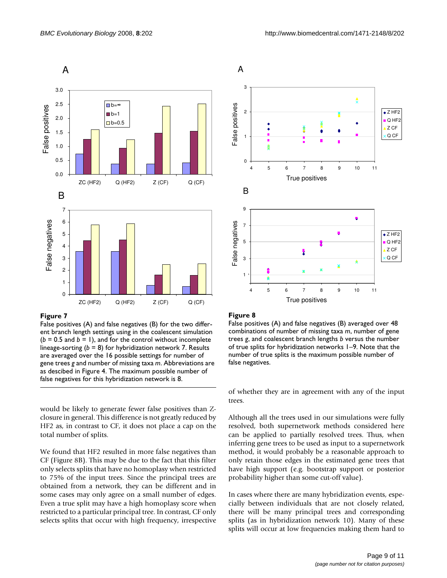

#### Figure 7

False positives (A) and false negatives (B) for the two different branch length settings using in the coalescent simulation  $(b = 0.5$  and  $b = 1$ ), and for the control without incomplete lineage-sorting (*b* = 8) for hybridization network 7. Results are averaged over the 16 possible settings for number of gene trees *g* and number of missing taxa *m*. Abbreviations are as descibed in Figure 4. The maximum possible number of false negatives for this hybridization network is 8.

would be likely to generate fewer false positives than Zclosure in general. This difference is not greatly reduced by HF2 as, in contrast to CF, it does not place a cap on the total number of splits.

We found that HF2 resulted in more false negatives than CF (Figure 8B). This may be due to the fact that this filter only selects splits that have no homoplasy when restricted to 75% of the input trees. Since the principal trees are obtained from a network, they can be different and in some cases may only agree on a small number of edges. Even a true split may have a high homoplasy score when restricted to a particular principal tree. In contrast, CF only selects splits that occur with high frequency, irrespective



#### Figure 8

False positives (A) and false negatives (B) averaged over 48 combinations of number of missing taxa *m*, number of gene trees *g*, and coalescent branch lengths *b* versus the number of true splits for hybridization networks 1–9. Note that the number of true splits is the maximum possible number of false negatives.

of whether they are in agreement with any of the input trees.

Although all the trees used in our simulations were fully resolved, both supernetwork methods considered here can be applied to partially resolved trees. Thus, when inferring gene trees to be used as input to a supernetwork method, it would probably be a reasonable approach to only retain those edges in the estimated gene trees that have high support (e.g. bootstrap support or posterior probability higher than some cut-off value).

In cases where there are many hybridization events, especially between individuals that are not closely related, there will be many principal trees and corresponding splits (as in hybridization network 10). Many of these splits will occur at low frequencies making them hard to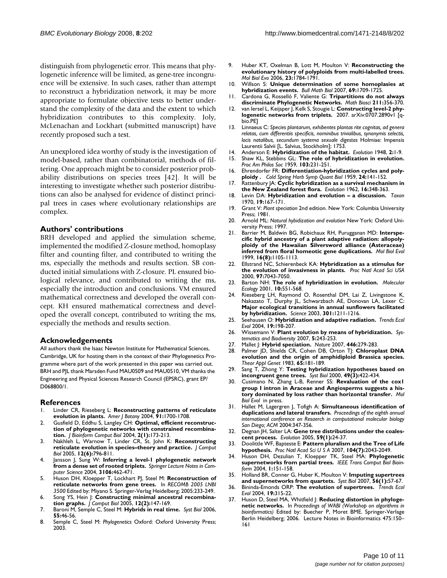distinguish from phylogenetic error. This means that phylogenetic inference will be limited, as gene-tree incongruence will be extensive. In such cases, rather than attempt to reconstruct a hybridization network, it may be more appropriate to formulate objective tests to better understand the complexity of the data and the extent to which hybridization contributes to this complexity. Joly, McLenachan and Lockhart (submitted manuscript) have recently proposed such a test.

An unexplored idea worthy of study is the investigation of model-based, rather than combinatorial, methods of filtering. One approach might be to consider posterior probability distributions on species trees [42]. It will be interesting to investigate whether such posterior distributions can also be analysed for evidence of distinct principal trees in cases where evolutionary relationships are complex.

#### **Authors' contributions**

BRH developed and applied the simulation scheme, implemented the modified Z-closure method, homoplasy filter and counting filter, and contributed to writing the ms, especially the methods and results section. SB conducted initial simulations with Z-closure. PL ensured biological relevance, and contributed to writing the ms, especially the introduction and conclusions. VM ensured mathematical correctness and developed the overall concept. KH ensured mathematical correctness and developed the overall concept, contributed to writing the ms, especially the methods and results section.

#### **Acknowledgements**

All authors thank the Isaac Newton Institute for Mathematical Sciences, Cambridge, UK for hosting them in the context of their Phylogenetics Programme where part of the work presented in this paper was carried out. BRH and PJL thank Marsden Fund MAU0509 and MAU0510, VM thanks the Engineering and Physical Sciences Research Council (EPSRC), grant EP/ D068800/1.

#### **References**

- 1. Linder CR, Rieseberg L: **Reconstructing patterns of reticulate evolution in plants.** *Amer J Botany* 2004, **91:**1700-1708.
- Gusfield D, Eddhu S, Langley CH: [Optimal, efficient reconstruc](http://www.ncbi.nlm.nih.gov/entrez/query.fcgi?cmd=Retrieve&db=PubMed&dopt=Abstract&list_uids=15272438)**[tion of phylogenetic networks with constrained recombina](http://www.ncbi.nlm.nih.gov/entrez/query.fcgi?cmd=Retrieve&db=PubMed&dopt=Abstract&list_uids=15272438)[tion.](http://www.ncbi.nlm.nih.gov/entrez/query.fcgi?cmd=Retrieve&db=PubMed&dopt=Abstract&list_uids=15272438)** *J Bioinform Comput Biol* 2004, **2(1):**173-213.
- 3. Nakhleh L, Warnow T, Linder CR, St. John K: **[Reconstructing](http://www.ncbi.nlm.nih.gov/entrez/query.fcgi?cmd=Retrieve&db=PubMed&dopt=Abstract&list_uids=16108717) [reticulate evolution in species–theory and practice.](http://www.ncbi.nlm.nih.gov/entrez/query.fcgi?cmd=Retrieve&db=PubMed&dopt=Abstract&list_uids=16108717)** *J Comput Biol* 2005, **12(6):**796-811.
- 4. Jansson J, Sung W: **Inferring a level-1 phylogenetic network from a dense set of rooted triplets.** *Springer Lecture Notes in Computer Science* 2004, **3106:**462-471.
- 5. Huson DH, Kloepper T, Lockhart PJ, Steel M: **Reconstruction of reticulate networks from gene trees.** In *RECOMB 2005 LNBI 3500* Edited by: Miyano S. Springer-Verlag Heidelberg; 2005:233-249.
- 6. Song YS, Hein J: **[Constructing minimal ancestral recombina](http://www.ncbi.nlm.nih.gov/entrez/query.fcgi?cmd=Retrieve&db=PubMed&dopt=Abstract&list_uids=15767774)[tion graphs.](http://www.ncbi.nlm.nih.gov/entrez/query.fcgi?cmd=Retrieve&db=PubMed&dopt=Abstract&list_uids=15767774)** *J Comput Biol* 2005, **12(2):**147-169.
- 7. Baroni M, Semple C, Steel M: **[Hybrids in real time.](http://www.ncbi.nlm.nih.gov/entrez/query.fcgi?cmd=Retrieve&db=PubMed&dopt=Abstract&list_uids=16507523)** *Syst Biol* 2006, **55:**46-56.
- 8. Semple C, Steel M: *Phylogenetics* Oxford: Oxford University Press; 2003.
- 9. Huber KT, Oxelman B, Lott M, Moulton V: **Reconstructing the evolutionary history of polyploids from multi-labelled trees.** *Mol Biol Evo* 2006, **23:**1784-1791.
- 10. Willson S: **[Unique determination of some homoplasies at](http://www.ncbi.nlm.nih.gov/entrez/query.fcgi?cmd=Retrieve&db=PubMed&dopt=Abstract&list_uids=17318673) [hybridization events.](http://www.ncbi.nlm.nih.gov/entrez/query.fcgi?cmd=Retrieve&db=PubMed&dopt=Abstract&list_uids=17318673)** *Bull Math Biol* 2007, **69:**1709-1725.
- 11. Cardona G, Rosselló F, Valiente G: **[Tripartitions do not always](http://www.ncbi.nlm.nih.gov/entrez/query.fcgi?cmd=Retrieve&db=PubMed&dopt=Abstract&list_uids=18177903) [discriminate Phylogenetic Networks.](http://www.ncbi.nlm.nih.gov/entrez/query.fcgi?cmd=Retrieve&db=PubMed&dopt=Abstract&list_uids=18177903)** *Math Biosci* **211:**356-370.
- 12. van Iersel L, Keijsper J, Kelk S, Stougie L: **Constructing level-2 phylogenetic networks from triplets.** 2007. arXiv:0707.2890v1 [qbio.PE]
- 13. Linnaeus C: *Species plantarum, exhibentes plantas rite cognitas, ad genera relatas, cum differentiis specificis, nominibus trivialibus, synonymis selectis, locis natalibus, secundum systema sexuale digestas* Holmiae: Impensis Laurentii Salvii [L. Salvius, Stockholm]; 1753.
- 14. Anderson E: **Hybridization of the habitat.** *Evolution* 1948, **2:**1-9.
- 15. Shaw KL, Stebbins GL: **The role of hybridization in evolution.** *Proc Am Philos Soc* 1959, **103:**231-251.
- 16. Ehrendorfer FR: **[Differentiation-hybridization cycles and poly](http://www.ncbi.nlm.nih.gov/entrez/query.fcgi?cmd=Retrieve&db=PubMed&dopt=Abstract&list_uids=13819584)[ploidy .](http://www.ncbi.nlm.nih.gov/entrez/query.fcgi?cmd=Retrieve&db=PubMed&dopt=Abstract&list_uids=13819584)** *Cold Spring Harb Symp Quant Biol* 1959, **24:**141-152.
- 17. Rattenbury JA: **Cyclic hybridization as a survival mechanism in the New Zealand forest flora.** *Evolution* 1962, **16:**348-363.
- 18. Levin DA: **Hybridization and evolution a discussion.** *Taxon* 1970, **19:**167-171.
- 19. Grant V: *Plant speciation* 2nd edition. New York: Columbia University Press; 1981.
- 20. Arnold ML: *Natural hybidization and evolution* New York: Oxford University Press; 1997.
- 21. Barrier M, Baldwin BG, Robichaux RH, Purugganan MD: **[Interspe](http://www.ncbi.nlm.nih.gov/entrez/query.fcgi?cmd=Retrieve&db=PubMed&dopt=Abstract&list_uids=10474905)[cific hybrid ancestry of a plant adaptive radiation: allopoly](http://www.ncbi.nlm.nih.gov/entrez/query.fcgi?cmd=Retrieve&db=PubMed&dopt=Abstract&list_uids=10474905)ploidy of the Hawaiian Silversword alliance (Asteraceae) [inferred from floral homeotic gene duplications.](http://www.ncbi.nlm.nih.gov/entrez/query.fcgi?cmd=Retrieve&db=PubMed&dopt=Abstract&list_uids=10474905)** *Mol Biol Evol* 1999, **16(8):**1105-1113.
- 22. Ellstrand NC, Schierenbeck KA: **[Hybridization as a stimulus for](http://www.ncbi.nlm.nih.gov/entrez/query.fcgi?cmd=Retrieve&db=PubMed&dopt=Abstract&list_uids=10860969) [the evolution of invasivness in plants.](http://www.ncbi.nlm.nih.gov/entrez/query.fcgi?cmd=Retrieve&db=PubMed&dopt=Abstract&list_uids=10860969)** *Proc Natl Acad Sci USA* 2000, **97:**7043-7050.
- 23. Barton NH: **[The role of hybridization in evolution.](http://www.ncbi.nlm.nih.gov/entrez/query.fcgi?cmd=Retrieve&db=PubMed&dopt=Abstract&list_uids=11298968)** *Molecular Ecology* 2001, **10:**551-568.
- 24. Rieseberg LH, Raymond O, Rosenthal DM, Lai Z, Livingstone K, Nakazato T, Durphy JL, Schwarzbach AE, Donovan LA, Lexer C: **[Major ecological transitions in annual sunflowers facilitated](http://www.ncbi.nlm.nih.gov/entrez/query.fcgi?cmd=Retrieve&db=PubMed&dopt=Abstract&list_uids=12907807) [by hybridization.](http://www.ncbi.nlm.nih.gov/entrez/query.fcgi?cmd=Retrieve&db=PubMed&dopt=Abstract&list_uids=12907807)** *Science* 2003, **301:**1211-1216.
- 25. Seehausen O: **[Hybridization and adaptive radiation.](http://www.ncbi.nlm.nih.gov/entrez/query.fcgi?cmd=Retrieve&db=PubMed&dopt=Abstract&list_uids=16701254)** *Trends Ecol Evol* 2004, **19:**198-207.
- 26. Wissemann V: **Plant evolution by means of hybridization.** *Systematics and Biodiversity* 2007, **5:**243-253.
- 27. Mallet J: **[Hybrid speciation.](http://www.ncbi.nlm.nih.gov/entrez/query.fcgi?cmd=Retrieve&db=PubMed&dopt=Abstract&list_uids=17361174)** *Nature* 2007, **446:**279-283.
- 28. Palmer JD, Shields CR, Cohen DB, Orton TJ: **Chloroplast DNA evolution and the origin of amphidiploid Brassica species.** *Theor Appl Genet* 1983, **65:**181-189.
- 29. Sang T, Zhong Y: **[Testing hybridization hypotheses based on](http://www.ncbi.nlm.nih.gov/entrez/query.fcgi?cmd=Retrieve&db=PubMed&dopt=Abstract&list_uids=12116420) [incongruent gene trees.](http://www.ncbi.nlm.nih.gov/entrez/query.fcgi?cmd=Retrieve&db=PubMed&dopt=Abstract&list_uids=12116420)** *Syst Biol* 2000, **49(3):**422-434.
- 30. Cusimano N, Zhang L-B, Renner SS: **[Revaluation of the cox1](http://www.ncbi.nlm.nih.gov/entrez/query.fcgi?cmd=Retrieve&db=PubMed&dopt=Abstract&list_uids=18158323) [group I intron in Araceae and Angiosperms suggests a his](http://www.ncbi.nlm.nih.gov/entrez/query.fcgi?cmd=Retrieve&db=PubMed&dopt=Abstract&list_uids=18158323)[tory dominated by loss rather than horizontal transfer.](http://www.ncbi.nlm.nih.gov/entrez/query.fcgi?cmd=Retrieve&db=PubMed&dopt=Abstract&list_uids=18158323)** *Mol Biol Evol* in press.
- 31. Hallet M, Lagergren J, Tofigh A: **Simultaneous identification of duplications and lateral transfers.** *Proceedings of the eighth annual international conference on Resaerch in computational molecular biology San Diego; ACM* 2004:347-356.
- 32. Degnan JH, Salter LA: **[Gene tree distributions under the coales](http://www.ncbi.nlm.nih.gov/entrez/query.fcgi?cmd=Retrieve&db=PubMed&dopt=Abstract&list_uids=15792224)[cent process.](http://www.ncbi.nlm.nih.gov/entrez/query.fcgi?cmd=Retrieve&db=PubMed&dopt=Abstract&list_uids=15792224)** *Evolution* 2005, **59(1):**24-37.
- 33. Doolittle WF, Bapteste E: **[Pattern pluralism and the Tree of Life](http://www.ncbi.nlm.nih.gov/entrez/query.fcgi?cmd=Retrieve&db=PubMed&dopt=Abstract&list_uids=17261804) [hypothesis.](http://www.ncbi.nlm.nih.gov/entrez/query.fcgi?cmd=Retrieve&db=PubMed&dopt=Abstract&list_uids=17261804)** *Proc Natl Acad Sci U S A* 2007, **104(7):**2043-2049.
- 34. Huson DH, Dezulian T, Kloepper TK, Steel MA: **Phylogenetic supernetworks from partial trees.** *IEEE Trans Comput Biol Bioinform* 2004, **1:**151-158.
- 35. Holland BR, Conner G, Huber K, Moulton V: **[Imputing supertrees](http://www.ncbi.nlm.nih.gov/entrez/query.fcgi?cmd=Retrieve&db=PubMed&dopt=Abstract&list_uids=17366137) [and supernetworks from quartets.](http://www.ncbi.nlm.nih.gov/entrez/query.fcgi?cmd=Retrieve&db=PubMed&dopt=Abstract&list_uids=17366137)** *Syst Biol* 2007, **56(1):**57-67.
- 36. Bininda-Emonds ORP: **[The evolution of supertrees.](http://www.ncbi.nlm.nih.gov/entrez/query.fcgi?cmd=Retrieve&db=PubMed&dopt=Abstract&list_uids=16701277)** *Trends Ecol Evol* 2004, **19:**315-22.
- 37. Huson D, Steel MA, Whitfield J: **Reducing distortion in phylogenetic networks.** In *Proceedings of WABI (Workshop on algorithms in bioinformatics)* Edited by: Buecher P, Moret BME. Springer-Verlage Berlin Heidelberg; 2006. Lecture Notes in Bioinformatics 475:150– 161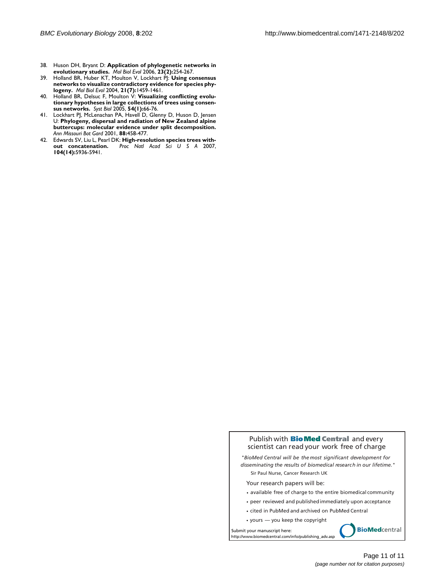- 38. Huson DH, Bryant D: **[Application of phylogenetic networks in](http://www.ncbi.nlm.nih.gov/entrez/query.fcgi?cmd=Retrieve&db=PubMed&dopt=Abstract&list_uids=16221896) [evolutionary studies.](http://www.ncbi.nlm.nih.gov/entrez/query.fcgi?cmd=Retrieve&db=PubMed&dopt=Abstract&list_uids=16221896)** *Mol Biol Evol* 2006, **23(2):**254-267.
- 39. Holland BR, Huber KT, Moulton V, Lockhart PJ: **[Using consensus](http://www.ncbi.nlm.nih.gov/entrez/query.fcgi?cmd=Retrieve&db=PubMed&dopt=Abstract&list_uids=15084681) [networks to visualize contradictory evidence for species phy](http://www.ncbi.nlm.nih.gov/entrez/query.fcgi?cmd=Retrieve&db=PubMed&dopt=Abstract&list_uids=15084681)[logeny.](http://www.ncbi.nlm.nih.gov/entrez/query.fcgi?cmd=Retrieve&db=PubMed&dopt=Abstract&list_uids=15084681)** *Mol Biol Evol* 2004, **21(7):**1459-1461.
- 40. Holland BR, Delsuc F, Moulton V: **[Visualizing conflicting evolu](http://www.ncbi.nlm.nih.gov/entrez/query.fcgi?cmd=Retrieve&db=PubMed&dopt=Abstract&list_uids=15805011)[tionary hypotheses in large collections of trees using consen](http://www.ncbi.nlm.nih.gov/entrez/query.fcgi?cmd=Retrieve&db=PubMed&dopt=Abstract&list_uids=15805011)[sus networks.](http://www.ncbi.nlm.nih.gov/entrez/query.fcgi?cmd=Retrieve&db=PubMed&dopt=Abstract&list_uids=15805011)** *Syst Biol* 2005, **54(1):**66-76.
- 41. Lockhart PJ, McLenachan PA, Havell D, Glenny D, Huson D, Jensen U: **Phylogeny, dispersal and radiation of New Zealand alpine buttercups: molecular evidence under split decomposition.** *Ann Missouri Bot Gard* 2001, **88:**458-477.
- 42. Edwards SV, Liu L, Pearl DK: **[High-resolution species trees with](http://www.ncbi.nlm.nih.gov/entrez/query.fcgi?cmd=Retrieve&db=PubMed&dopt=Abstract&list_uids=17392434)[out concatenation.](http://www.ncbi.nlm.nih.gov/entrez/query.fcgi?cmd=Retrieve&db=PubMed&dopt=Abstract&list_uids=17392434)** *Proc Natl Acad Sci U S A* 2007, **104(14):**5936-5941.